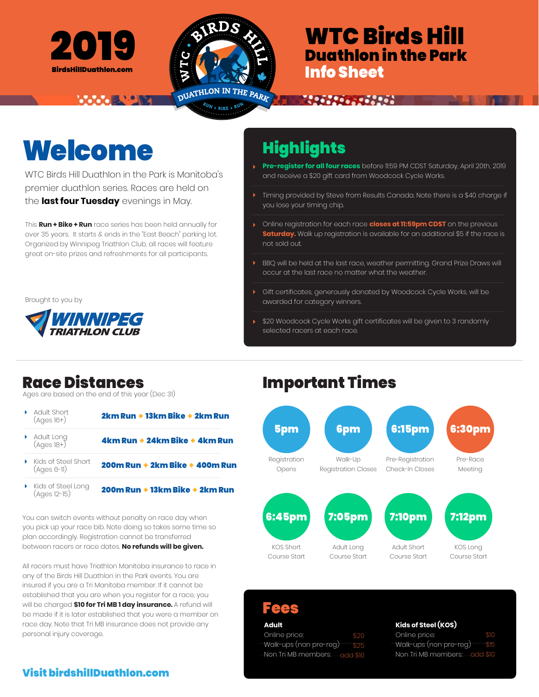



 $RU_N$  + BIKE + RUN

## 2019 **WTC Birds Hill** Duathlon in the Park Info Sheet

# Welcome Highlights

WTC Birds Hill Duathlon in the Park is Manitoba's premier duathlon series. Races are held on the **last four Tuesday** evenings in May.

**WARDEN BEAT START** 

This **Run + Bike + Run** race series has been held annually for over 35 years. It starts & ends in the "East Beach" parking lot. Organized by Winnipeg Triathlon Club, all races will feature great on-site prizes and refreshments for all participants.

Brought to you by



**Pre-register for all four races** before 11:59 PM CDST Saturday, April 20th, 2019 and receive a \$20 gift card from Woodcock Cycle Works.

**ARCHARGE COMPOS** 

- Timing provided by Steve from Results Canada. Note there is a \$40 charge if you lose your timing chip.
- Online registration for each race **closes at 11:59pm CDST** on the previous **Saturday.** Walk up registration is available for an additional \$5 if the race is not sold out.
- BBQ will be held at the last race, weather permitting. Grand Prize Draws will occur at the last race no matter what the weather.
- Gift certificates, generously donated by Woodcock Cycle Works, will be awarded for category winners.
- \$20 Woodcock Cycle Works gift certificates will be given to 3 randomly selected racers at each race.

Ages are based on the end of this year (Dec 31)

- Adult Short 2km Run + 13km Bike + 2km Run (Ages 16+) Adult Long 4km Run + 24km Bike + 4km Run (Ages 18+) ¥ Kids of Steel Short 200m Run + 2km Bike + 400m Run (Ages 6-11)
- Kids of Steel Long (Ages 12-15)

200m Run + 13km Bike + 2km Run

You can switch events without penalty on race day when you pick up your race bib. Note doing so takes some time so plan accordingly. Registration cannot be transferred between racers or race dates. **No refunds will be given.**

All racers must have Triathlon Manitoba insurance to race in any of the Birds Hill Duathlon in the Park events. You are insured if you are a Tri Manitoba member. If it cannot be established that you are when you register for a race, you will be charged **\$10 for Tri MB 1 day insurance.** A refund will be made if it is later established that you were a member on race day. Note that Tri MB insurance does not provide any personal injury coverage.

### Race Distances Important Times



### Fees

**Adult** Online price: Walk-ups (non pre-reg) Non Tri MB members: \$20 \$25 add \$10

#### **Kids of Steel (KOS)**

Online price: Walk-ups (non pre-reg) Non Tri MB members: add \$10 \$10 \$15

### Visit birdshillDuathlon.com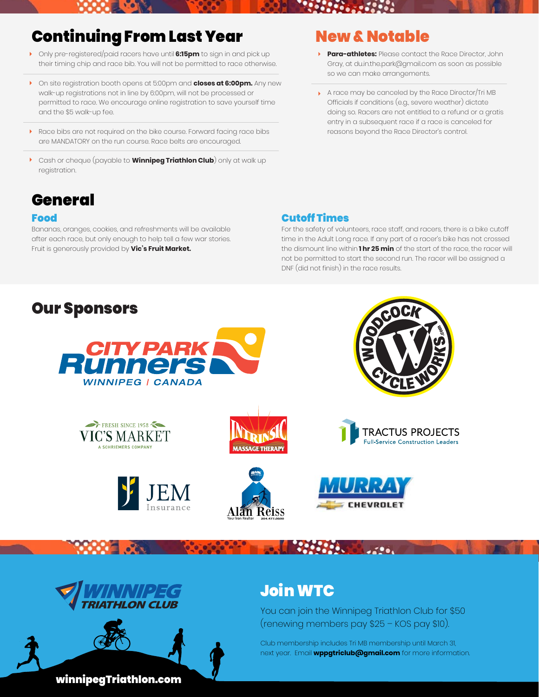### **Continuing From Last Year New & Notable**

- Only pre-registered/paid racers have until **6:15pm** to sign in and pick up their timing chip and race bib. You will not be permitted to race otherwise.
- On site registration booth opens at 5:00pm and **closes at 6:00pm.** Any new walk-up registrations not in line by 6:00pm, will not be processed or permitted to race. We encourage online registration to save yourself time and the \$5 walk-up fee.
- Race bibs are not required on the bike course. Forward facing race bibs are MANDATORY on the run course. Race belts are encouraged.
- Cash or cheque (payable to **Winnipeg Triathlon Club**) only at walk up registration.

### General

#### Food

Bananas, oranges, cookies, and refreshments will be available after each race, but only enough to help tell a few war stories. Fruit is generously provided by **Vic's Fruit Market.**

- **Para-athletes:** Please contact the Race Director, John Gray, at du.in.the.park@gmail.com as soon as possible so we can make arrangements.
- A race may be canceled by the Race Director/Tri MB Officials if conditions (e.g., severe weather) dictate doing so. Racers are not entitled to a refund or a gratis entry in a subsequent race if a race is canceled for reasons beyond the Race Director's control.

#### Cutoff Times

For the safety of volunteers, race staff, and racers, there is a bike cutoff time in the Adult Long race. If any part of a racer's bike has not crossed the dismount line within **1 hr 25 min** of the start of the race, the racer will not be permitted to start the second run. The racer will be assigned a DNF (did not finish) in the race results.







## Join WTC

You can join the Winnipeg Triathlon Club for \$50 (renewing members pay \$25 – KOS pay \$10).

Club membership includes Tri MB membership until March 31, next year. Email **wppgtriclub@gmail.com** for more information.